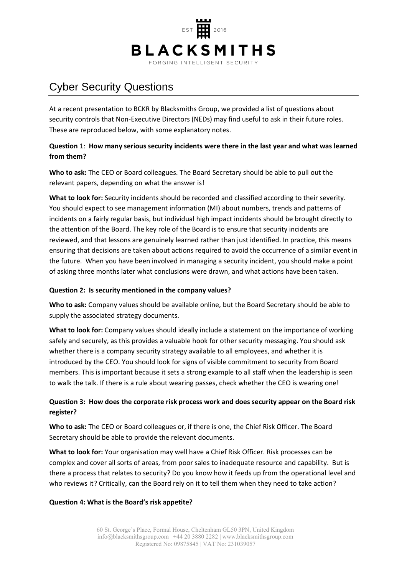

# Cyber Security Questions

At a recent presentation to BCKR by Blacksmiths Group, we provided a list of questions about security controls that Non-Executive Directors (NEDs) may find useful to ask in their future roles. These are reproduced below, with some explanatory notes.

# **Question** 1: **How many serious security incidents were there in the last year and what was learned from them?**

**Who to ask:** The CEO or Board colleagues. The Board Secretary should be able to pull out the relevant papers, depending on what the answer is!

**What to look for:** Security incidents should be recorded and classified according to their severity. You should expect to see management information (MI) about numbers, trends and patterns of incidents on a fairly regular basis, but individual high impact incidents should be brought directly to the attention of the Board. The key role of the Board is to ensure that security incidents are reviewed, and that lessons are genuinely learned rather than just identified. In practice, this means ensuring that decisions are taken about actions required to avoid the occurrence of a similar event in the future. When you have been involved in managing a security incident, you should make a point of asking three months later what conclusions were drawn, and what actions have been taken.

## **Question 2: Is security mentioned in the company values?**

**Who to ask:** Company values should be available online, but the Board Secretary should be able to supply the associated strategy documents.

**What to look for:** Company values should ideally include a statement on the importance of working safely and securely, as this provides a valuable hook for other security messaging. You should ask whether there is a company security strategy available to all employees, and whether it is introduced by the CEO. You should look for signs of visible commitment to security from Board members. This is important because it sets a strong example to all staff when the leadership is seen to walk the talk. If there is a rule about wearing passes, check whether the CEO is wearing one!

# **Question 3: How does the corporate risk process work and does security appear on the Board risk register?**

**Who to ask:** The CEO or Board colleagues or, if there is one, the Chief Risk Officer. The Board Secretary should be able to provide the relevant documents.

**What to look for:** Your organisation may well have a Chief Risk Officer. Risk processes can be complex and cover all sorts of areas, from poor sales to inadequate resource and capability. But is there a process that relates to security? Do you know how it feeds up from the operational level and who reviews it? Critically, can the Board rely on it to tell them when they need to take action?

## **Question 4: What is the Board's risk appetite?**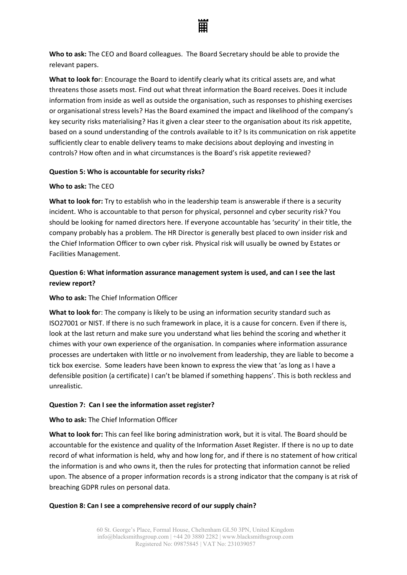

**Who to ask:** The CEO and Board colleagues. The Board Secretary should be able to provide the relevant papers.

**What to look fo**r: Encourage the Board to identify clearly what its critical assets are, and what threatens those assets most. Find out what threat information the Board receives. Does it include information from inside as well as outside the organisation, such as responses to phishing exercises or organisational stress levels? Has the Board examined the impact and likelihood of the company's key security risks materialising? Has it given a clear steer to the organisation about its risk appetite, based on a sound understanding of the controls available to it? Is its communication on risk appetite sufficiently clear to enable delivery teams to make decisions about deploying and investing in controls? How often and in what circumstances is the Board's risk appetite reviewed?

## **Question 5: Who is accountable for security risks?**

## **Who to ask:** The CEO

**What to look for:** Try to establish who in the leadership team is answerable if there is a security incident. Who is accountable to that person for physical, personnel and cyber security risk? You should be looking for named directors here. If everyone accountable has 'security' in their title, the company probably has a problem. The HR Director is generally best placed to own insider risk and the Chief Information Officer to own cyber risk. Physical risk will usually be owned by Estates or Facilities Management.

# **Question 6: What information assurance management system is used, and can I see the last review report?**

## **Who to ask:** The Chief Information Officer

**What to look fo**r: The company is likely to be using an information security standard such as ISO27001 or NIST. If there is no such framework in place, it is a cause for concern. Even if there is, look at the last return and make sure you understand what lies behind the scoring and whether it chimes with your own experience of the organisation. In companies where information assurance processes are undertaken with little or no involvement from leadership, they are liable to become a tick box exercise. Some leaders have been known to express the view that 'as long as I have a defensible position (a certificate) I can't be blamed if something happens'. This is both reckless and unrealistic.

## **Question 7: Can I see the information asset register?**

## **Who to ask:** The Chief Information Officer

**What to look for:** This can feel like boring administration work, but it is vital. The Board should be accountable for the existence and quality of the Information Asset Register. If there is no up to date record of what information is held, why and how long for, and if there is no statement of how critical the information is and who owns it, then the rules for protecting that information cannot be relied upon. The absence of a proper information records is a strong indicator that the company is at risk of breaching GDPR rules on personal data.

## **Question 8: Can I see a comprehensive record of our supply chain?**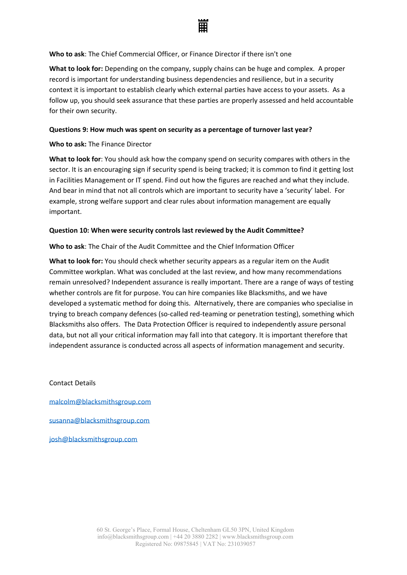

#### **Who to ask**: The Chief Commercial Officer, or Finance Director if there isn't one

**What to look for:** Depending on the company, supply chains can be huge and complex. A proper record is important for understanding business dependencies and resilience, but in a security context it is important to establish clearly which external parties have access to your assets. As a follow up, you should seek assurance that these parties are properly assessed and held accountable for their own security.

#### **Questions 9: How much was spent on security as a percentage of turnover last year?**

#### **Who to ask:** The Finance Director

**What to look for**: You should ask how the company spend on security compares with others in the sector. It is an encouraging sign if security spend is being tracked; it is common to find it getting lost in Facilities Management or IT spend. Find out how the figures are reached and what they include. And bear in mind that not all controls which are important to security have a 'security' label. For example, strong welfare support and clear rules about information management are equally important.

## **Question 10: When were security controls last reviewed by the Audit Committee?**

## **Who to ask**: The Chair of the Audit Committee and the Chief Information Officer

**What to look for:** You should check whether security appears as a regular item on the Audit Committee workplan. What was concluded at the last review, and how many recommendations remain unresolved? Independent assurance is really important. There are a range of ways of testing whether controls are fit for purpose. You can hire companies like Blacksmiths, and we have developed a systematic method for doing this. Alternatively, there are companies who specialise in trying to breach company defences (so-called red-teaming or penetration testing), something which Blacksmiths also offers. The Data Protection Officer is required to independently assure personal data, but not all your critical information may fall into that category. It is important therefore that independent assurance is conducted across all aspects of information management and security.

Contact Details

[malcolm@blacksmithsgroup.com](mailto:malcolm@blacksmithsgroup.com)

[susanna@blacksmithsgroup.com](mailto:susanna@blacksmithsgroup.com)

[josh@blacksmithsgroup.com](mailto:josh@blacksmithsgroup.com)